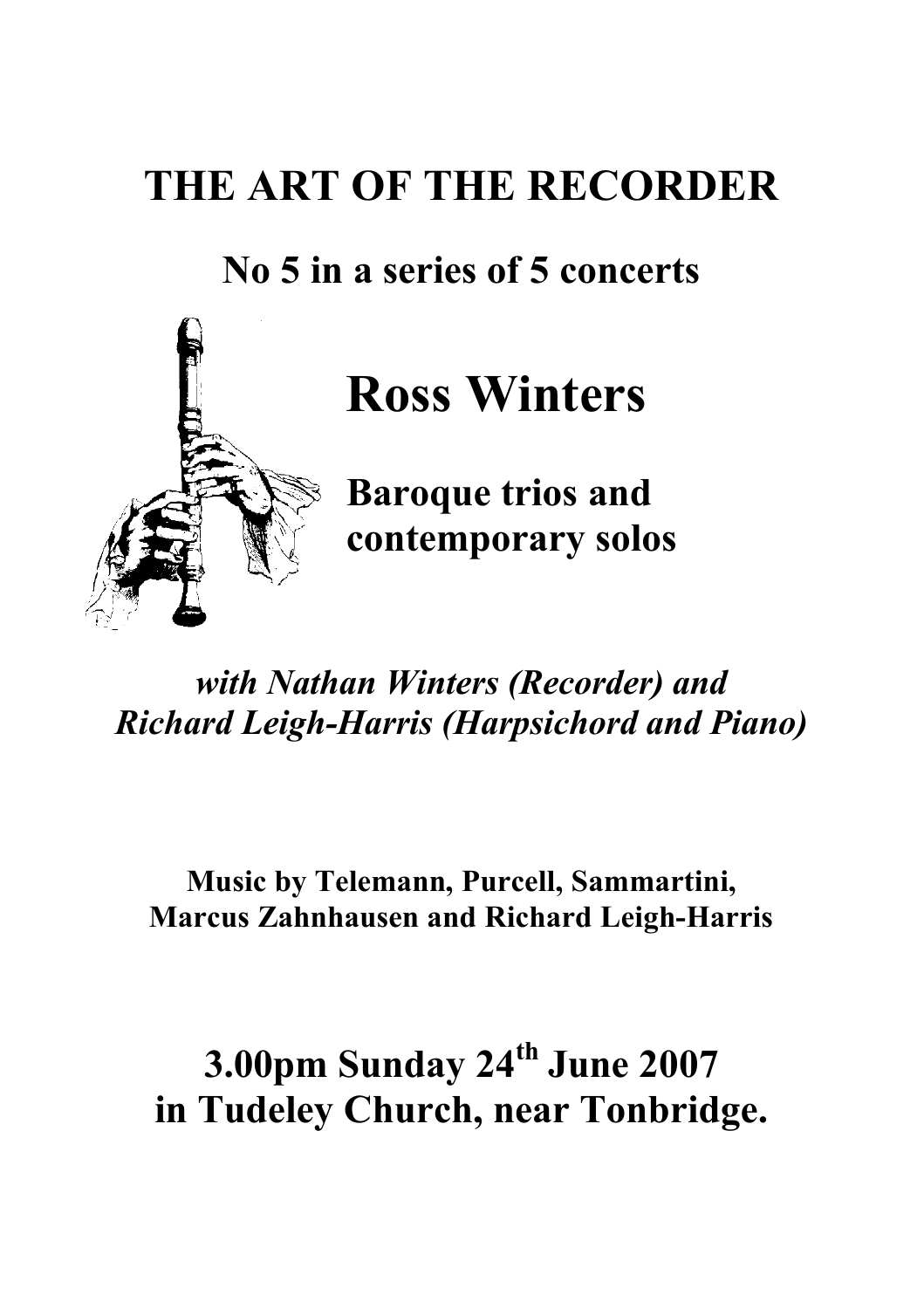# **THE ART OF THE RECORDER**

## **No 5 in a series of 5 concerts**



# **Ross Winters**

**Baroque trios and contemporary solos**

### *with Nathan Winters (Recorder) and Richard Leigh-Harris (Harpsichord and Piano)*

#### **Music by Telemann, Purcell, Sammartini, Marcus Zahnhausen and Richard Leigh-Harris**

# **3.00pm Sunday 24th June 2007 in Tudeley Church, near Tonbridge.**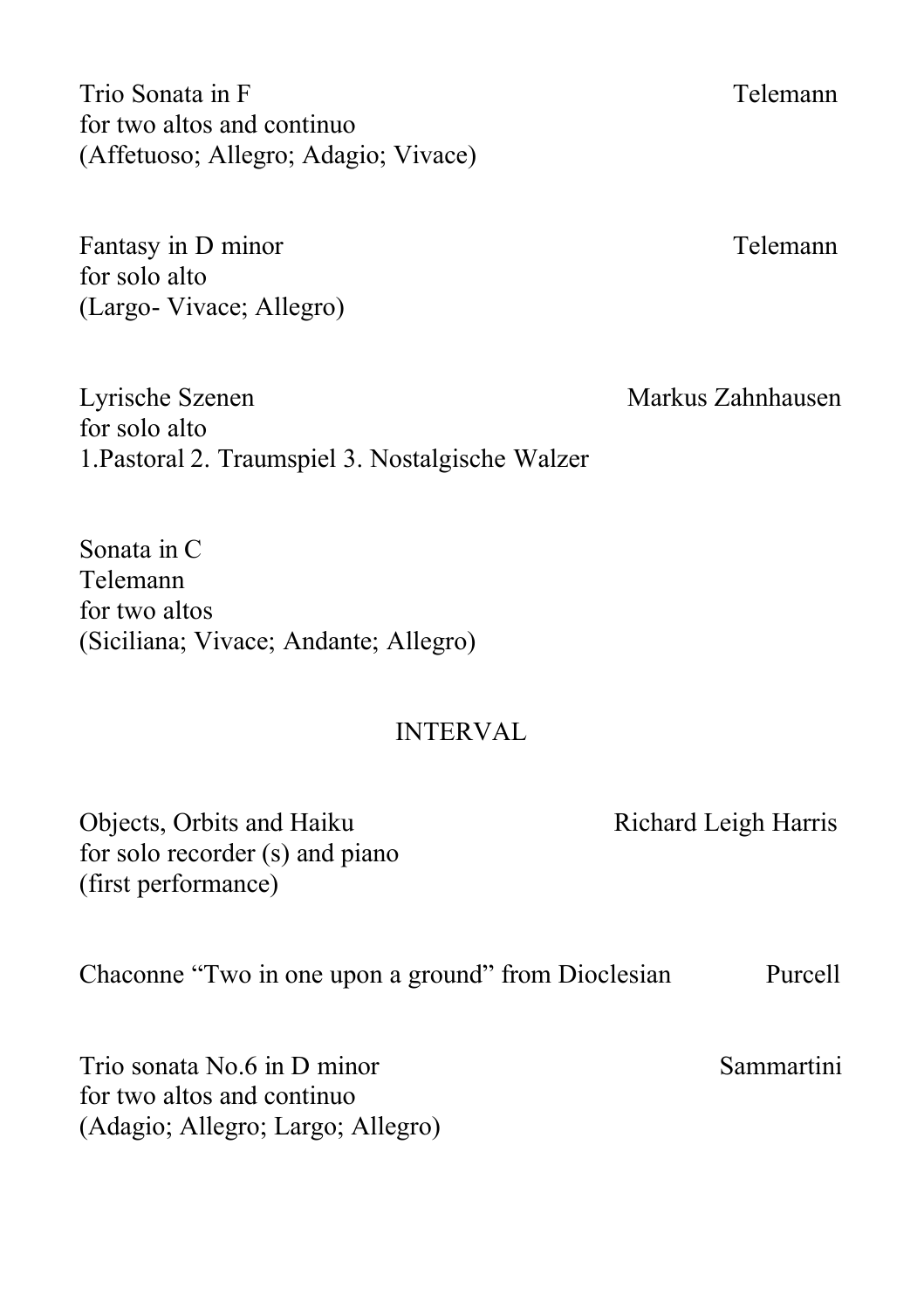Trio Sonata in F Telemann for two altos and continuo (Affetuoso; Allegro; Adagio; Vivace)

Fantasy in D minor Telemann for solo alto (Largo- Vivace; Allegro)

Lyrische Szenen Markus Zahnhausen for solo alto 1.Pastoral 2. Traumspiel 3. Nostalgische Walzer

Sonata in C Telemann for two altos (Siciliana; Vivace; Andante; Allegro)

#### INTERVAL

Objects, Orbits and Haiku Richard Leigh Harris for solo recorder (s) and piano (first performance)

Chaconne "Two in one upon a ground" from Dioclesian Purcell

Trio sonata No.6 in D minor Sammartini for two altos and continuo (Adagio; Allegro; Largo; Allegro)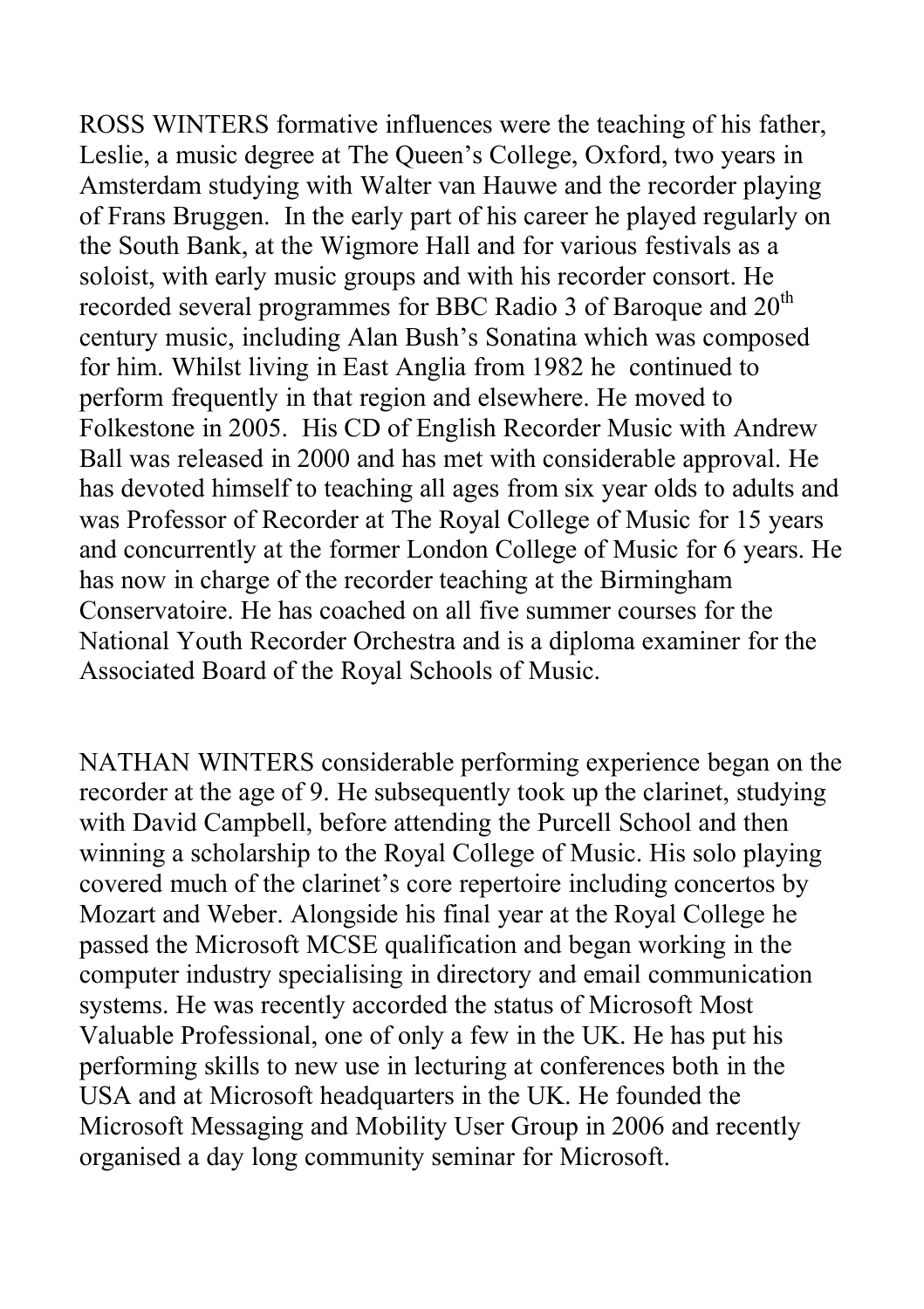ROSS WINTERS formative influences were the teaching of his father, Leslie, a music degree at The Queen's College, Oxford, two years in Amsterdam studying with Walter van Hauwe and the recorder playing of Frans Bruggen. In the early part of his career he played regularly on the South Bank, at the Wigmore Hall and for various festivals as a soloist, with early music groups and with his recorder consort. He recorded several programmes for BBC Radio 3 of Baroque and  $20<sup>th</sup>$ century music, including Alan Bush's Sonatina which was composed for him. Whilst living in East Anglia from 1982 he continued to perform frequently in that region and elsewhere. He moved to Folkestone in 2005. His CD of English Recorder Music with Andrew Ball was released in 2000 and has met with considerable approval. He has devoted himself to teaching all ages from six year olds to adults and was Professor of Recorder at The Royal College of Music for 15 years and concurrently at the former London College of Music for 6 years. He has now in charge of the recorder teaching at the Birmingham Conservatoire. He has coached on all five summer courses for the National Youth Recorder Orchestra and is a diploma examiner for the Associated Board of the Royal Schools of Music.

NATHAN WINTERS considerable performing experience began on the recorder at the age of 9. He subsequently took up the clarinet, studying with David Campbell, before attending the Purcell School and then winning a scholarship to the Royal College of Music. His solo playing covered much of the clarinet's core repertoire including concertos by Mozart and Weber. Alongside his final year at the Royal College he passed the Microsoft MCSE qualification and began working in the computer industry specialising in directory and email communication systems. He was recently accorded the status of Microsoft Most Valuable Professional, one of only a few in the UK. He has put his performing skills to new use in lecturing at conferences both in the USA and at Microsoft headquarters in the UK. He founded the Microsoft Messaging and Mobility User Group in 2006 and recently organised a day long community seminar for Microsoft.